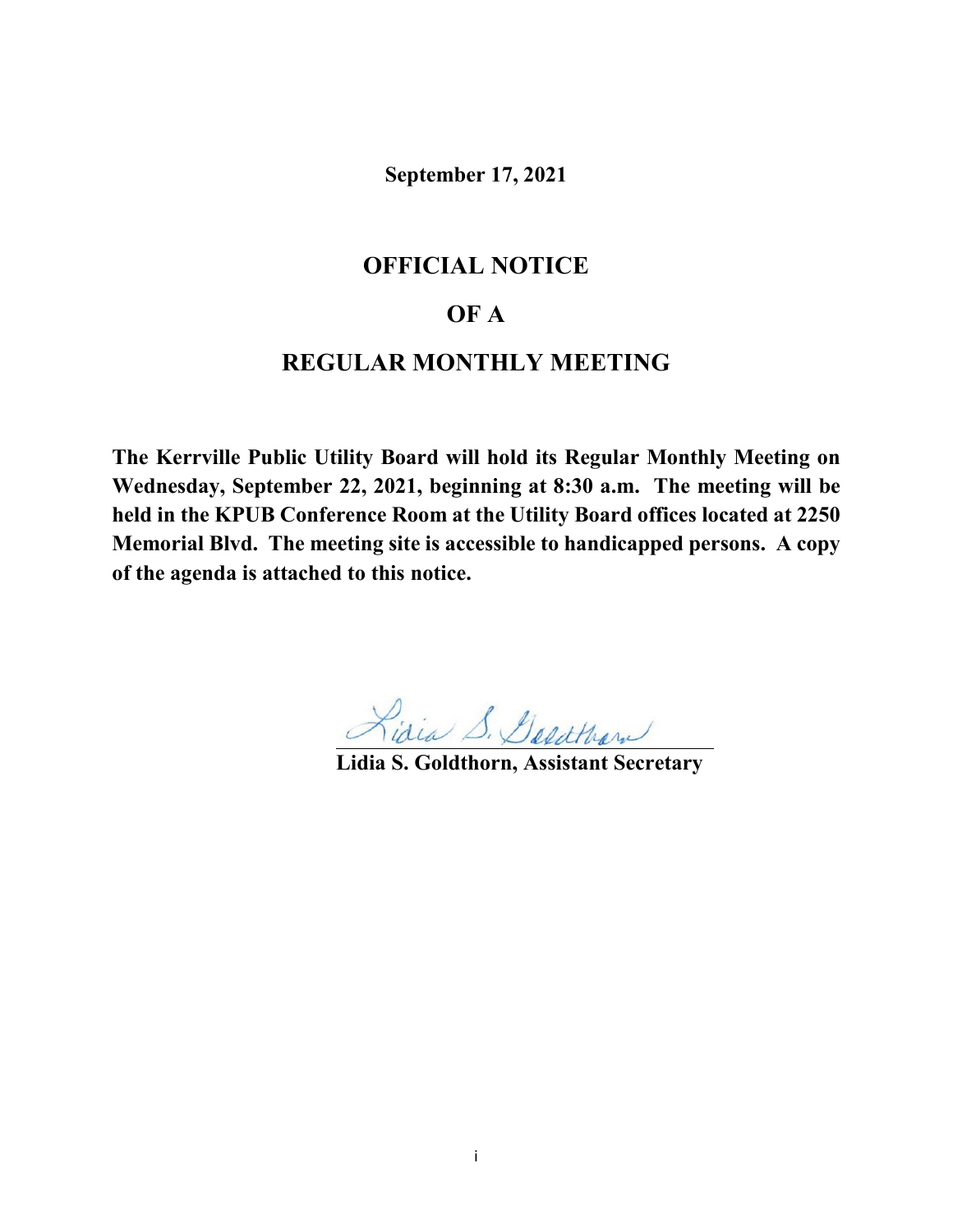**September 17, 2021**

## **OFFICIAL NOTICE**

## **OF A**

# **REGULAR MONTHLY MEETING**

**The Kerrville Public Utility Board will hold its Regular Monthly Meeting on Wednesday, September 22, 2021, beginning at 8:30 a.m. The meeting will be held in the KPUB Conference Room at the Utility Board offices located at 2250 Memorial Blvd. The meeting site is accessible to handicapped persons. A copy of the agenda is attached to this notice.**

**Lidia S. Goldthorn, Assistant Secretary**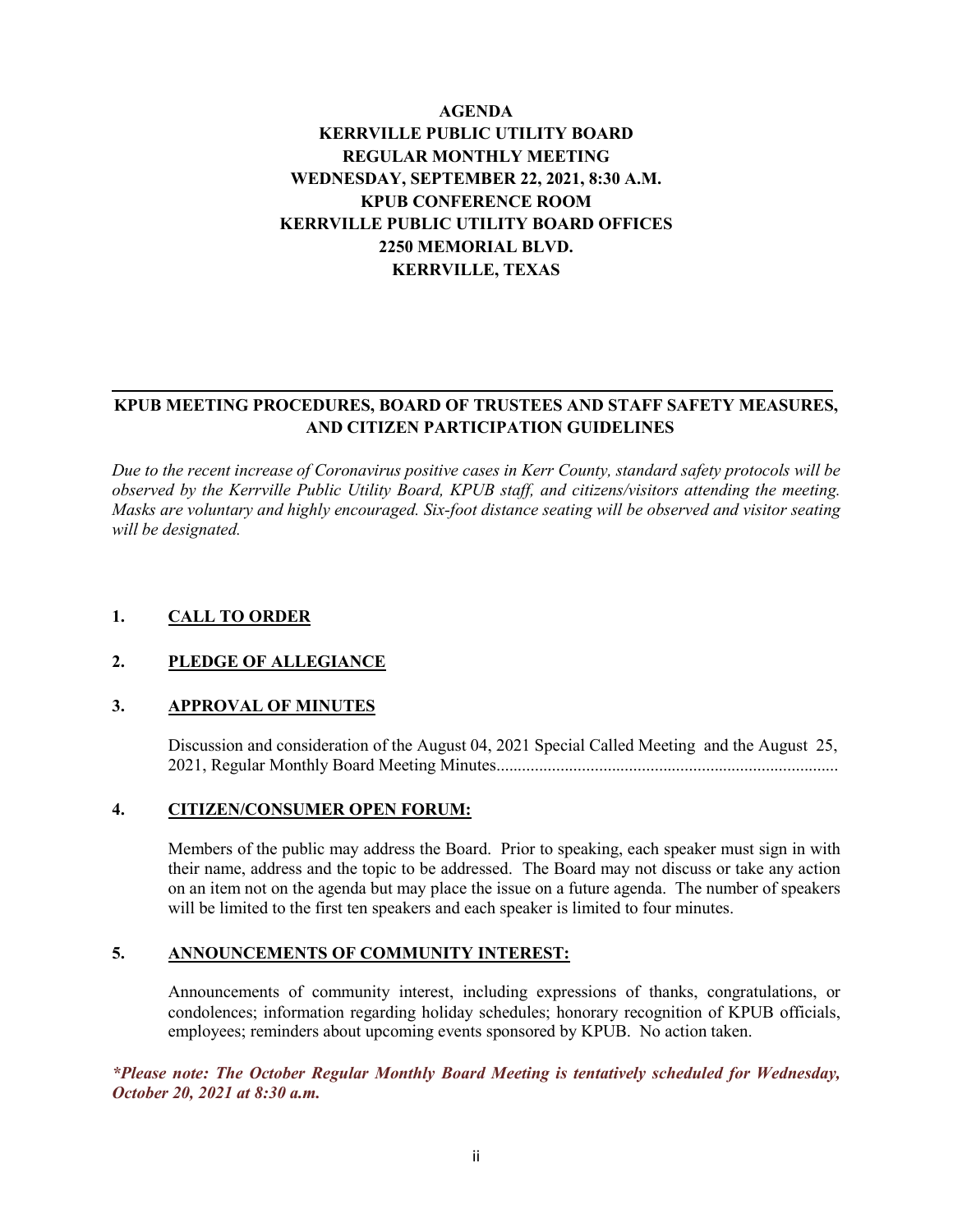## **AGENDA KERRVILLE PUBLIC UTILITY BOARD REGULAR MONTHLY MEETING WEDNESDAY, SEPTEMBER 22, 2021, 8:30 A.M. KPUB CONFERENCE ROOM KERRVILLE PUBLIC UTILITY BOARD OFFICES 2250 MEMORIAL BLVD. KERRVILLE, TEXAS**

## **KPUB MEETING PROCEDURES, BOARD OF TRUSTEES AND STAFF SAFETY MEASURES, AND CITIZEN PARTICIPATION GUIDELINES**

*Due to the recent increase of Coronavirus positive cases in Kerr County, standard safety protocols will be observed by the Kerrville Public Utility Board, KPUB staff, and citizens/visitors attending the meeting. Masks are voluntary and highly encouraged. Six-foot distance seating will be observed and visitor seating will be designated.*

## **1. CALL TO ORDER**

#### **2. PLEDGE OF ALLEGIANCE**

#### **3. APPROVAL OF MINUTES**

Discussion and consideration of the August 04, 2021 Special Called Meeting and the August 25, 2021, Regular Monthly Board Meeting Minutes................................................................................

#### **4. CITIZEN/CONSUMER OPEN FORUM:**

Members of the public may address the Board. Prior to speaking, each speaker must sign in with their name, address and the topic to be addressed. The Board may not discuss or take any action on an item not on the agenda but may place the issue on a future agenda. The number of speakers will be limited to the first ten speakers and each speaker is limited to four minutes.

#### **5. ANNOUNCEMENTS OF COMMUNITY INTEREST:**

Announcements of community interest, including expressions of thanks, congratulations, or condolences; information regarding holiday schedules; honorary recognition of KPUB officials, employees; reminders about upcoming events sponsored by KPUB. No action taken.

*\*Please note: The October Regular Monthly Board Meeting is tentatively scheduled for Wednesday, October 20, 2021 at 8:30 a.m.*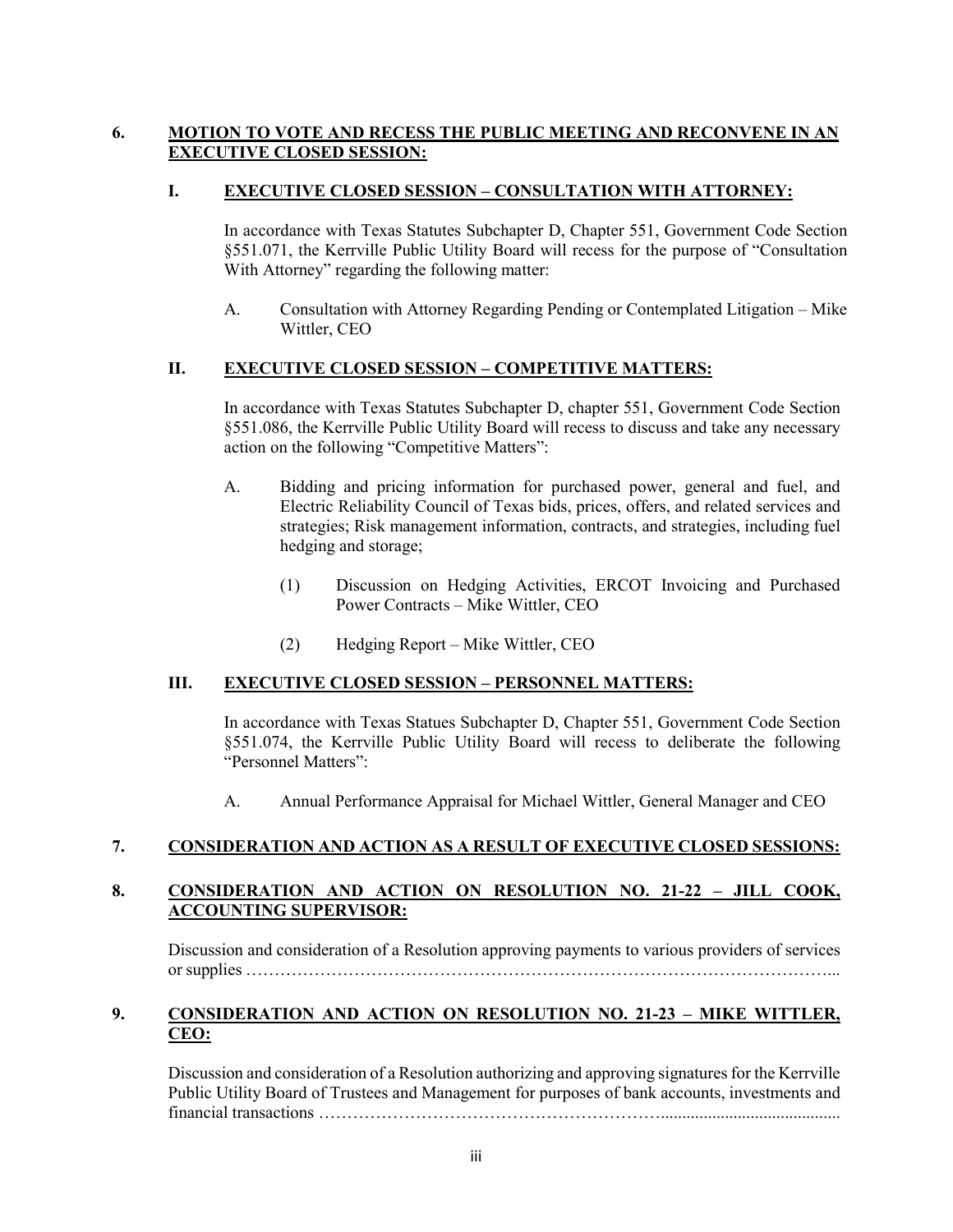## **6. MOTION TO VOTE AND RECESS THE PUBLIC MEETING AND RECONVENE IN AN EXECUTIVE CLOSED SESSION:**

#### **I. EXECUTIVE CLOSED SESSION – CONSULTATION WITH ATTORNEY:**

In accordance with Texas Statutes Subchapter D, Chapter 551, Government Code Section §551.071, the Kerrville Public Utility Board will recess for the purpose of "Consultation With Attorney" regarding the following matter:

A. Consultation with Attorney Regarding Pending or Contemplated Litigation – Mike Wittler, CEO

#### **II. EXECUTIVE CLOSED SESSION – COMPETITIVE MATTERS:**

In accordance with Texas Statutes Subchapter D, chapter 551, Government Code Section §551.086, the Kerrville Public Utility Board will recess to discuss and take any necessary action on the following "Competitive Matters":

- A. Bidding and pricing information for purchased power, general and fuel, and Electric Reliability Council of Texas bids, prices, offers, and related services and strategies; Risk management information, contracts, and strategies, including fuel hedging and storage;
	- (1) Discussion on Hedging Activities, ERCOT Invoicing and Purchased Power Contracts – Mike Wittler, CEO
	- (2) Hedging Report Mike Wittler, CEO

## **III. EXECUTIVE CLOSED SESSION – PERSONNEL MATTERS:**

In accordance with Texas Statues Subchapter D, Chapter 551, Government Code Section §551.074, the Kerrville Public Utility Board will recess to deliberate the following "Personnel Matters":

A. Annual Performance Appraisal for Michael Wittler, General Manager and CEO

## **7. CONSIDERATION AND ACTION AS A RESULT OF EXECUTIVE CLOSED SESSIONS:**

## **8. CONSIDERATION AND ACTION ON RESOLUTION NO. 21-22 – JILL COOK, ACCOUNTING SUPERVISOR:**

Discussion and consideration of a Resolution approving payments to various providers of services or supplies …………………………………………………………………………………………...

## **9. CONSIDERATION AND ACTION ON RESOLUTION NO. 21-23 – MIKE WITTLER, CEO:**

Discussion and consideration of a Resolution authorizing and approving signatures for the Kerrville Public Utility Board of Trustees and Management for purposes of bank accounts, investments and financial transactions ……………………………………………………..........................................